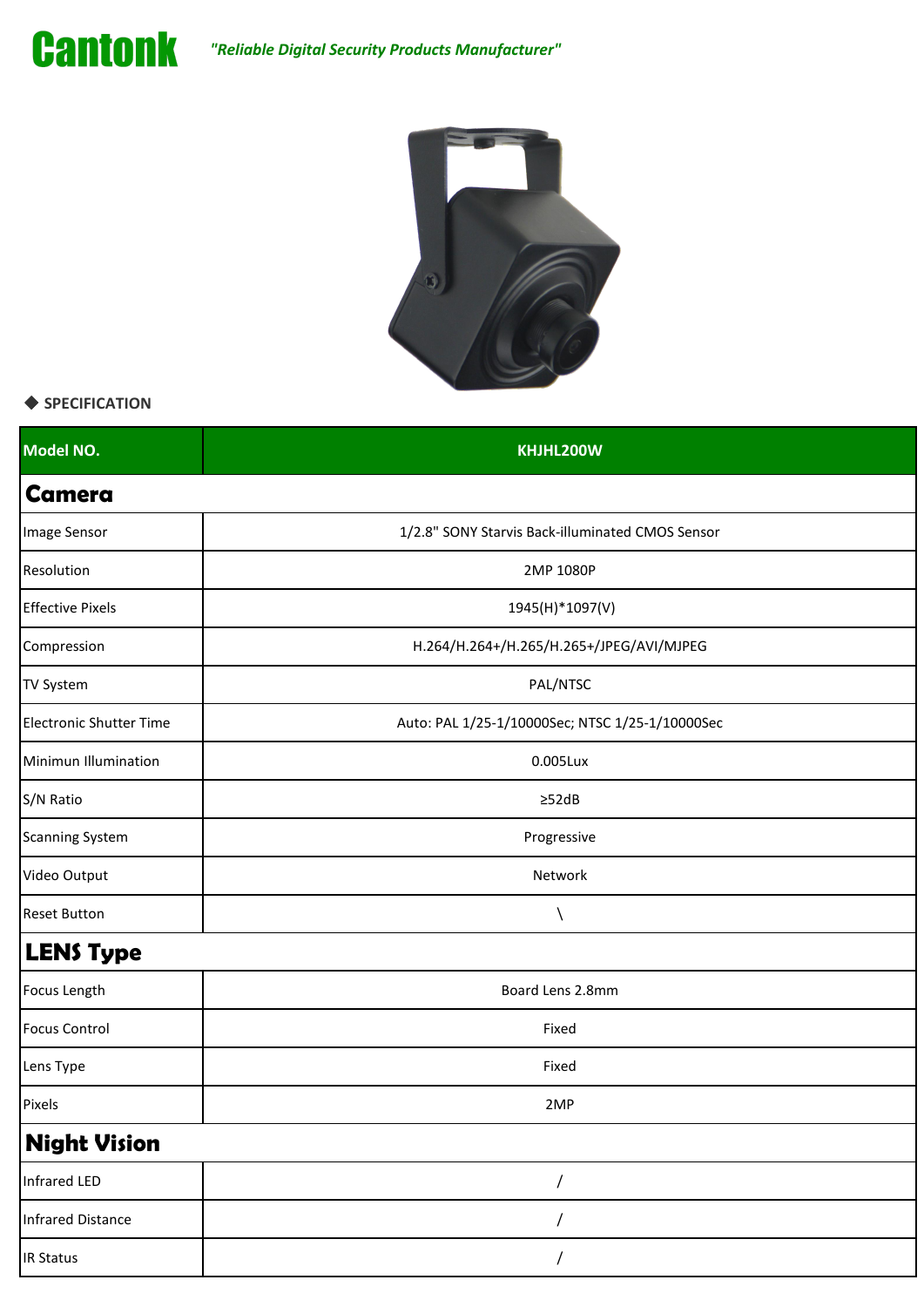



## ◆ **SPECIFICATION**

| Model NO.                      | KHJHL200W                                        |
|--------------------------------|--------------------------------------------------|
| <b>Camera</b>                  |                                                  |
| Image Sensor                   | 1/2.8" SONY Starvis Back-illuminated CMOS Sensor |
| Resolution                     | 2MP 1080P                                        |
| <b>Effective Pixels</b>        | 1945(H)*1097(V)                                  |
| Compression                    | H.264/H.264+/H.265/H.265+/JPEG/AVI/MJPEG         |
| <b>TV System</b>               | PAL/NTSC                                         |
| <b>Electronic Shutter Time</b> | Auto: PAL 1/25-1/10000Sec; NTSC 1/25-1/10000Sec  |
| Minimun Illumination           | $0.005$ Lux                                      |
| S/N Ratio                      | $\geq$ 52dB                                      |
| <b>Scanning System</b>         | Progressive                                      |
| Video Output                   | Network                                          |
| <b>Reset Button</b>            |                                                  |
| <b>LENS Type</b>               |                                                  |
| Focus Length                   | Board Lens 2.8mm                                 |
| <b>Focus Control</b>           | Fixed                                            |
| Lens Type                      | Fixed                                            |
| Pixels                         | 2MP                                              |
| <b>Night Vision</b>            |                                                  |
| <b>Infrared LED</b>            | 7                                                |
| Infrared Distance              | 7                                                |
| <b>IR Status</b>               | 7                                                |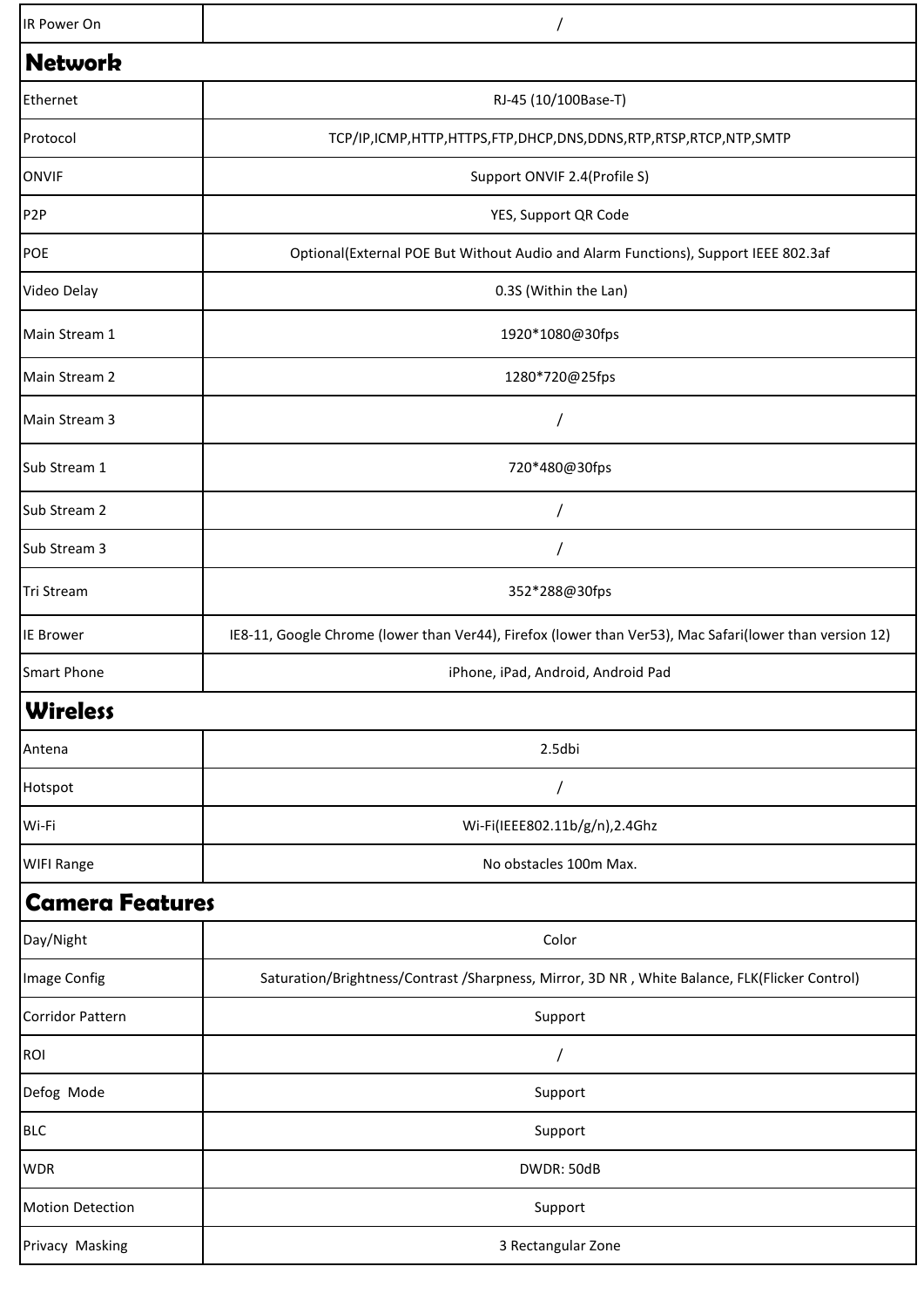| IR Power On             |                                                                                                         |  |
|-------------------------|---------------------------------------------------------------------------------------------------------|--|
| <b>Network</b>          |                                                                                                         |  |
| Ethernet                | RJ-45 (10/100Base-T)                                                                                    |  |
| Protocol                | TCP/IP,ICMP,HTTP,HTTPS,FTP,DHCP,DNS,DDNS,RTP,RTSP,RTCP,NTP,SMTP                                         |  |
| <b>ONVIF</b>            | Support ONVIF 2.4(Profile S)                                                                            |  |
| P <sub>2</sub> P        | YES, Support QR Code                                                                                    |  |
| POE                     | Optional(External POE But Without Audio and Alarm Functions), Support IEEE 802.3af                      |  |
| Video Delay             | 0.3S (Within the Lan)                                                                                   |  |
| Main Stream 1           | 1920*1080@30fps                                                                                         |  |
| Main Stream 2           | 1280*720@25fps                                                                                          |  |
| Main Stream 3           |                                                                                                         |  |
| Sub Stream 1            | 720*480@30fps                                                                                           |  |
| Sub Stream 2            | $\prime$                                                                                                |  |
| Sub Stream 3            |                                                                                                         |  |
| Tri Stream              | 352*288@30fps                                                                                           |  |
| <b>IE Brower</b>        | IE8-11, Google Chrome (lower than Ver44), Firefox (lower than Ver53), Mac Safari(lower than version 12) |  |
| <b>Smart Phone</b>      | iPhone, iPad, Android, Android Pad                                                                      |  |
| <b>Wireless</b>         |                                                                                                         |  |
| Antena                  | 2.5dbi                                                                                                  |  |
| Hotspot                 | $\prime$                                                                                                |  |
| Wi-Fi                   | Wi-Fi(IEEE802.11b/g/n),2.4Ghz                                                                           |  |
| <b>WIFI Range</b>       | No obstacles 100m Max.                                                                                  |  |
| <b>Camera Features</b>  |                                                                                                         |  |
| Day/Night               | Color                                                                                                   |  |
| Image Config            | Saturation/Brightness/Contrast/Sharpness, Mirror, 3D NR, White Balance, FLK(Flicker Control)            |  |
| <b>Corridor Pattern</b> | Support                                                                                                 |  |
| ROI                     | $\prime$                                                                                                |  |
| Defog Mode              | Support                                                                                                 |  |
| <b>BLC</b>              | Support                                                                                                 |  |
| <b>WDR</b>              | DWDR: 50dB                                                                                              |  |
| <b>Motion Detection</b> | Support                                                                                                 |  |
| Privacy Masking         | 3 Rectangular Zone                                                                                      |  |